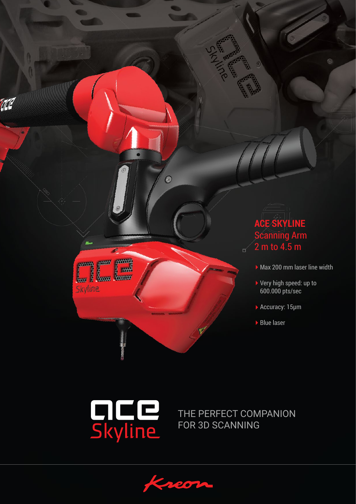

 $\Box$ 

- Max 200 mm laser line width
- ▶ Very high speed: up to 600.000 pts/sec
- ▶ Accuracy: 15µm
- ▶ Blue laser



EILE

Skyline

AC

THE PERFECT COMPANION FOR 3D SCANNING

I o

 $\overline{O}$